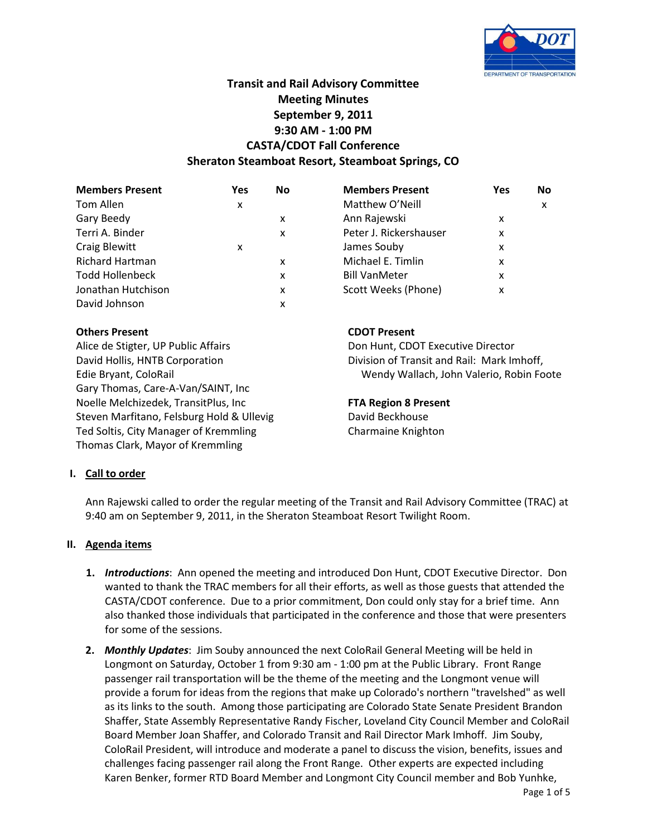

# **Transit and Rail Advisory Committee Meeting Minutes September 9, 2011 9:30 AM - 1:00 PM CASTA/CDOT Fall Conference Sheraton Steamboat Resort, Steamboat Springs, CO**

| Yes | <b>No</b> | <b>Members Present</b> | <b>Yes</b> | No |
|-----|-----------|------------------------|------------|----|
| x   |           | Matthew O'Neill        |            | X  |
|     | x         | Ann Rajewski           | x          |    |
|     | x         | Peter J. Rickershauser | x          |    |
| x   |           | James Souby            | x          |    |
|     | x         | Michael E. Timlin      | x          |    |
|     | x         | <b>Bill VanMeter</b>   | x          |    |
|     | x         | Scott Weeks (Phone)    | x          |    |
|     | x         |                        |            |    |
|     |           |                        |            |    |

# **Others Present CDOT Present**

Alice de Stigter, UP Public Affairs **Don Hunt, CDOT Executive Director** David Hollis, HNTB Corporation **Division of Transit and Rail: Mark Imhoff**, Gary Thomas, Care-A-Van/SAINT, Inc Noelle Melchizedek, TransitPlus, Inc **FTA Region 8 Present** Steven Marfitano, Felsburg Hold & Ullevig **David Beckhouse** Ted Soltis, City Manager of Kremmling Ted Soltis, Charmaine Knighton Thomas Clark, Mayor of Kremmling

Edie Bryant, ColoRail Wendy Wallach, John Valerio, Robin Foote

# **I. Call to order**

Ann Rajewski called to order the regular meeting of the Transit and Rail Advisory Committee (TRAC) at 9:40 am on September 9, 2011, in the Sheraton Steamboat Resort Twilight Room.

### **II. Agenda items**

- **1.** *Introductions*: Ann opened the meeting and introduced Don Hunt, CDOT Executive Director. Don wanted to thank the TRAC members for all their efforts, as well as those guests that attended the CASTA/CDOT conference. Due to a prior commitment, Don could only stay for a brief time. Ann also thanked those individuals that participated in the conference and those that were presenters for some of the sessions.
- **2.** *Monthly Updates*: Jim Souby announced the next ColoRail General Meeting will be held in Longmont on Saturday, October 1 from 9:30 am - 1:00 pm at the Public Library. Front Range passenger rail transportation will be the theme of the meeting and the Longmont venue will provide a forum for ideas from the regions that make up Colorado's northern "travelshed" as well as its links to the south. Among those participating are Colorado State Senate President Brandon Shaffer, State Assembly Representative Randy Fischer, Loveland City Council Member and ColoRail Board Member Joan Shaffer, and Colorado Transit and Rail Director Mark Imhoff. Jim Souby, ColoRail President, will introduce and moderate a panel to discuss the vision, benefits, issues and challenges facing passenger rail along the Front Range. Other experts are expected including Karen Benker, former RTD Board Member and Longmont City Council member and Bob Yunhke,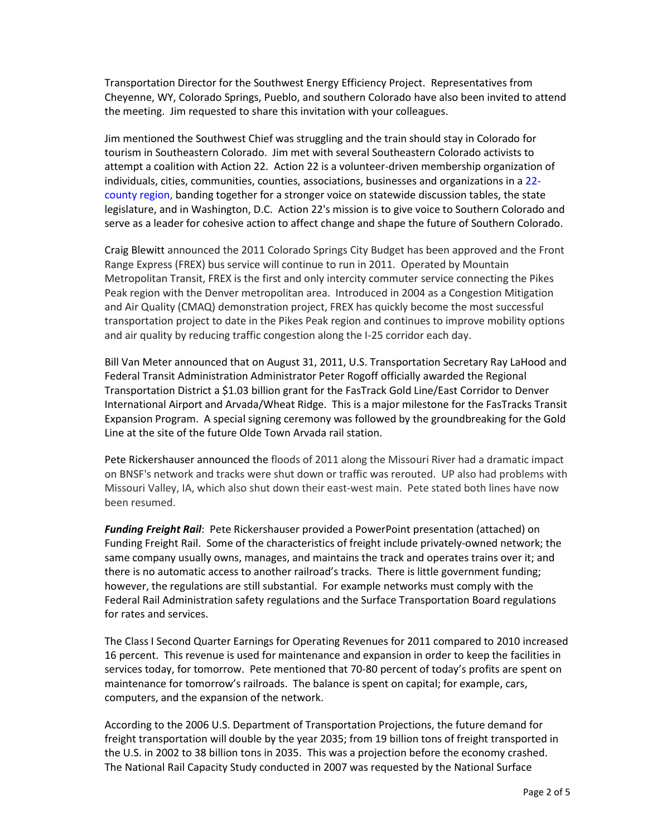Transportation Director for the Southwest Energy Efficiency Project. Representatives from Cheyenne, WY, Colorado Springs, Pueblo, and southern Colorado have also been invited to attend the meeting. Jim requested to share this invitation with your colleagues.

Jim mentioned the Southwest Chief was struggling and the train should stay in Colorado for tourism in Southeastern Colorado. Jim met with several Southeastern Colorado activists to attempt a coalition with Action 22. Action 22 is a volunteer-driven membership organization of individuals, cities, communities, counties, associations, businesses and organizations in a [22](http://www.action22.org/images/MapA22Area.jpg) [county region,](http://www.action22.org/images/MapA22Area.jpg) banding together for a stronger voice on statewide discussion tables, the state legislature, and in Washington, D.C. Action 22's mission is to give voice to Southern Colorado and serve as a leader for cohesive action to affect change and shape the future of Southern Colorado.

Craig Blewitt announced the 2011 Colorado Springs City Budget has been approved and the Front Range Express (FREX) bus service will continue to run in 2011. Operated by Mountain Metropolitan Transit, FREX is the first and only intercity commuter service connecting the Pikes Peak region with the Denver metropolitan area. Introduced in 2004 as a Congestion Mitigation and Air Quality (CMAQ) demonstration project, FREX has quickly become the most successful transportation project to date in the Pikes Peak region and continues to improve mobility options and air quality by reducing traffic congestion along the I-25 corridor each day.

Bill Van Meter announced that on August 31, 2011, U.S. Transportation Secretary Ray LaHood and Federal Transit Administration Administrator Peter Rogoff officially awarded the Regional Transportation District a \$1.03 billion grant for the FasTrack Gold Line/East Corridor to Denver International Airport and Arvada/Wheat Ridge. This is a major milestone for the FasTracks Transit Expansion Program. A special signing ceremony was followed by the groundbreaking for the Gold Line at the site of the future Olde Town Arvada rail station.

Pete Rickershauser announced the floods of 2011 along the Missouri River had a dramatic impact on BNSF's network and tracks were shut down or traffic was rerouted. UP also had problems with Missouri Valley, IA, which also shut down their east-west main. Pete stated both lines have now been resumed.

*Funding Freight Rail*: Pete Rickershauser provided a PowerPoint presentation (attached) on Funding Freight Rail. Some of the characteristics of freight include privately-owned network; the same company usually owns, manages, and maintains the track and operates trains over it; and there is no automatic access to another railroad's tracks. There is little government funding; however, the regulations are still substantial. For example networks must comply with the Federal Rail Administration safety regulations and the Surface Transportation Board regulations for rates and services.

The Class I Second Quarter Earnings for Operating Revenues for 2011 compared to 2010 increased 16 percent. This revenue is used for maintenance and expansion in order to keep the facilities in services today, for tomorrow. Pete mentioned that 70-80 percent of today's profits are spent on maintenance for tomorrow's railroads. The balance is spent on capital; for example, cars, computers, and the expansion of the network.

According to the 2006 U.S. Department of Transportation Projections, the future demand for freight transportation will double by the year 2035; from 19 billion tons of freight transported in the U.S. in 2002 to 38 billion tons in 2035. This was a projection before the economy crashed. The National Rail Capacity Study conducted in 2007 was requested by the National Surface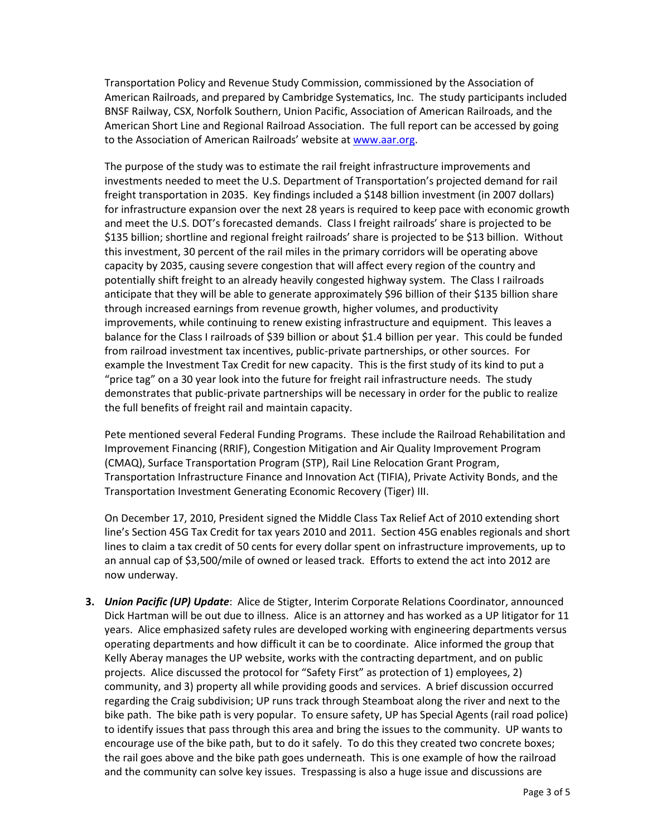Transportation Policy and Revenue Study Commission, commissioned by the Association of American Railroads, and prepared by Cambridge Systematics, Inc. The study participants included BNSF Railway, CSX, Norfolk Southern, Union Pacific, Association of American Railroads, and the American Short Line and Regional Railroad Association. The full report can be accessed by going to the Association of American Railroads' website at [www.aar.org.](http://www.aar.org/)

The purpose of the study was to estimate the rail freight infrastructure improvements and investments needed to meet the U.S. Department of Transportation's projected demand for rail freight transportation in 2035. Key findings included a \$148 billion investment (in 2007 dollars) for infrastructure expansion over the next 28 years is required to keep pace with economic growth and meet the U.S. DOT's forecasted demands. Class I freight railroads' share is projected to be \$135 billion; shortline and regional freight railroads' share is projected to be \$13 billion. Without this investment, 30 percent of the rail miles in the primary corridors will be operating above capacity by 2035, causing severe congestion that will affect every region of the country and potentially shift freight to an already heavily congested highway system. The Class I railroads anticipate that they will be able to generate approximately \$96 billion of their \$135 billion share through increased earnings from revenue growth, higher volumes, and productivity improvements, while continuing to renew existing infrastructure and equipment. This leaves a balance for the Class I railroads of \$39 billion or about \$1.4 billion per year. This could be funded from railroad investment tax incentives, public-private partnerships, or other sources. For example the Investment Tax Credit for new capacity. This is the first study of its kind to put a "price tag" on a 30 year look into the future for freight rail infrastructure needs. The study demonstrates that public-private partnerships will be necessary in order for the public to realize the full benefits of freight rail and maintain capacity.

Pete mentioned several Federal Funding Programs. These include the Railroad Rehabilitation and Improvement Financing (RRIF), Congestion Mitigation and Air Quality Improvement Program (CMAQ), Surface Transportation Program (STP), Rail Line Relocation Grant Program, Transportation Infrastructure Finance and Innovation Act (TIFIA), Private Activity Bonds, and the Transportation Investment Generating Economic Recovery (Tiger) III.

On December 17, 2010, President signed the Middle Class Tax Relief Act of 2010 extending short line's Section 45G Tax Credit for tax years 2010 and 2011. Section 45G enables regionals and short lines to claim a tax credit of 50 cents for every dollar spent on infrastructure improvements, up to an annual cap of \$3,500/mile of owned or leased track. Efforts to extend the act into 2012 are now underway.

**3.** *Union Pacific (UP) Update*: Alice de Stigter, Interim Corporate Relations Coordinator, announced Dick Hartman will be out due to illness. Alice is an attorney and has worked as a UP litigator for 11 years. Alice emphasized safety rules are developed working with engineering departments versus operating departments and how difficult it can be to coordinate. Alice informed the group that Kelly Aberay manages the UP website, works with the contracting department, and on public projects. Alice discussed the protocol for "Safety First" as protection of 1) employees, 2) community, and 3) property all while providing goods and services. A brief discussion occurred regarding the Craig subdivision; UP runs track through Steamboat along the river and next to the bike path. The bike path is very popular. To ensure safety, UP has Special Agents (rail road police) to identify issues that pass through this area and bring the issues to the community. UP wants to encourage use of the bike path, but to do it safely. To do this they created two concrete boxes; the rail goes above and the bike path goes underneath. This is one example of how the railroad and the community can solve key issues. Trespassing is also a huge issue and discussions are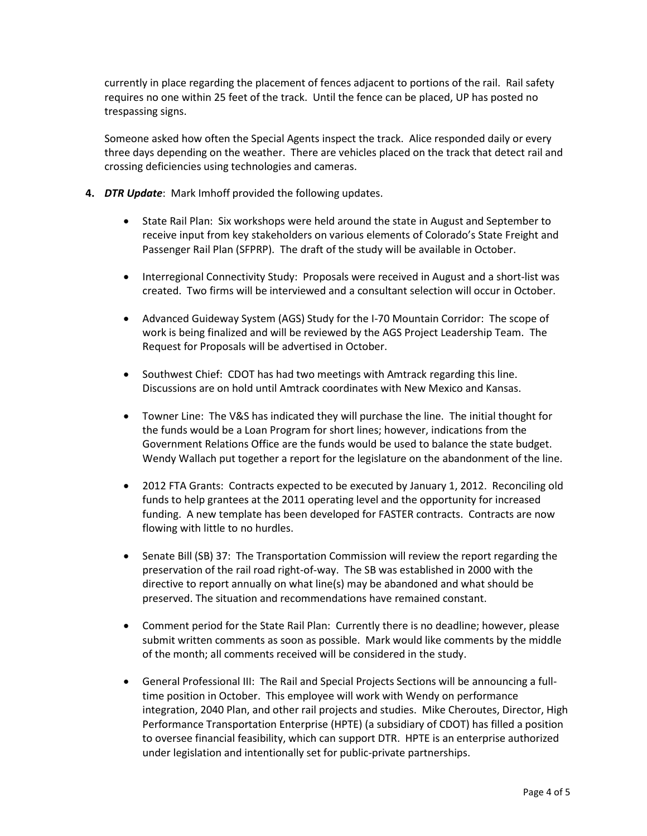currently in place regarding the placement of fences adjacent to portions of the rail. Rail safety requires no one within 25 feet of the track. Until the fence can be placed, UP has posted no trespassing signs.

Someone asked how often the Special Agents inspect the track. Alice responded daily or every three days depending on the weather. There are vehicles placed on the track that detect rail and crossing deficiencies using technologies and cameras.

- **4.** *DTR Update*: Mark Imhoff provided the following updates.
	- State Rail Plan: Six workshops were held around the state in August and September to receive input from key stakeholders on various elements of Colorado's State Freight and Passenger Rail Plan (SFPRP). The draft of the study will be available in October.
	- Interregional Connectivity Study: Proposals were received in August and a short-list was created. Two firms will be interviewed and a consultant selection will occur in October.
	- Advanced Guideway System (AGS) Study for the I-70 Mountain Corridor: The scope of work is being finalized and will be reviewed by the AGS Project Leadership Team. The Request for Proposals will be advertised in October.
	- Southwest Chief: CDOT has had two meetings with Amtrack regarding this line. Discussions are on hold until Amtrack coordinates with New Mexico and Kansas.
	- Towner Line: The V&S has indicated they will purchase the line. The initial thought for the funds would be a Loan Program for short lines; however, indications from the Government Relations Office are the funds would be used to balance the state budget. Wendy Wallach put together a report for the legislature on the abandonment of the line.
	- 2012 FTA Grants: Contracts expected to be executed by January 1, 2012. Reconciling old funds to help grantees at the 2011 operating level and the opportunity for increased funding. A new template has been developed for FASTER contracts. Contracts are now flowing with little to no hurdles.
	- Senate Bill (SB) 37: The Transportation Commission will review the report regarding the preservation of the rail road right-of-way. The SB was established in 2000 with the directive to report annually on what line(s) may be abandoned and what should be preserved. The situation and recommendations have remained constant.
	- Comment period for the State Rail Plan: Currently there is no deadline; however, please submit written comments as soon as possible. Mark would like comments by the middle of the month; all comments received will be considered in the study.
	- General Professional III: The Rail and Special Projects Sections will be announcing a fulltime position in October. This employee will work with Wendy on performance integration, 2040 Plan, and other rail projects and studies. Mike Cheroutes, Director, High Performance Transportation Enterprise (HPTE) (a subsidiary of CDOT) has filled a position to oversee financial feasibility, which can support DTR. HPTE is an enterprise authorized under legislation and intentionally set for public-private partnerships.